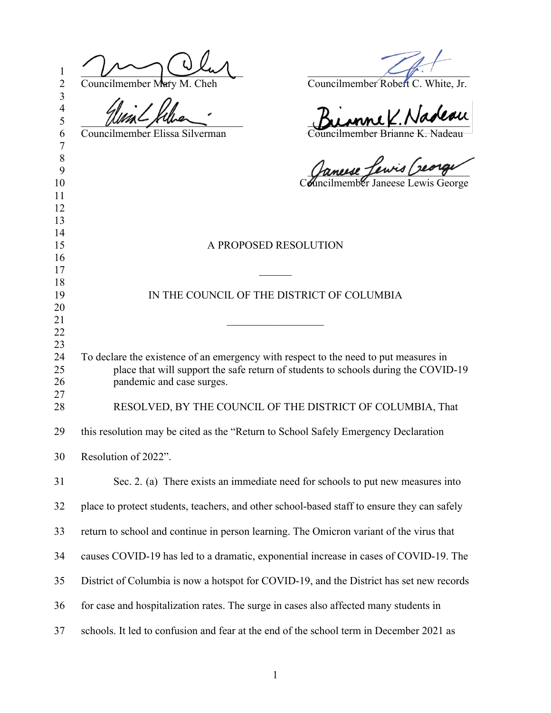| 1<br>$\overline{2}$                | Councilmember Mary M. Cheh<br>Councilmember Robert C. White, Jr.                                                                                                                                        |
|------------------------------------|---------------------------------------------------------------------------------------------------------------------------------------------------------------------------------------------------------|
| $\overline{3}$<br>4<br>5<br>6<br>7 | mne K. Nadeau<br>Councilmember Brianne K. Nadeau<br>Councilmember Elissa Silverman                                                                                                                      |
| 8<br>9<br>10<br>11                 | Canuse Lewis Creage                                                                                                                                                                                     |
| 12<br>13<br>14<br>15               | A PROPOSED RESOLUTION                                                                                                                                                                                   |
| 16<br>17<br>18<br>19<br>20<br>21   | IN THE COUNCIL OF THE DISTRICT OF COLUMBIA                                                                                                                                                              |
| 22<br>23<br>24<br>25<br>26         | To declare the existence of an emergency with respect to the need to put measures in<br>place that will support the safe return of students to schools during the COVID-19<br>pandemic and case surges. |
| 27<br>28                           | RESOLVED, BY THE COUNCIL OF THE DISTRICT OF COLUMBIA, That                                                                                                                                              |
| 29                                 | this resolution may be cited as the "Return to School Safely Emergency Declaration                                                                                                                      |
| 30                                 | Resolution of 2022".                                                                                                                                                                                    |
| 31                                 | Sec. 2. (a) There exists an immediate need for schools to put new measures into                                                                                                                         |
| 32                                 | place to protect students, teachers, and other school-based staff to ensure they can safely                                                                                                             |
| 33                                 | return to school and continue in person learning. The Omicron variant of the virus that                                                                                                                 |
| 34                                 | causes COVID-19 has led to a dramatic, exponential increase in cases of COVID-19. The                                                                                                                   |
| 35                                 | District of Columbia is now a hotspot for COVID-19, and the District has set new records                                                                                                                |
| 36                                 | for case and hospitalization rates. The surge in cases also affected many students in                                                                                                                   |
| 37                                 | schools. It led to confusion and fear at the end of the school term in December 2021 as                                                                                                                 |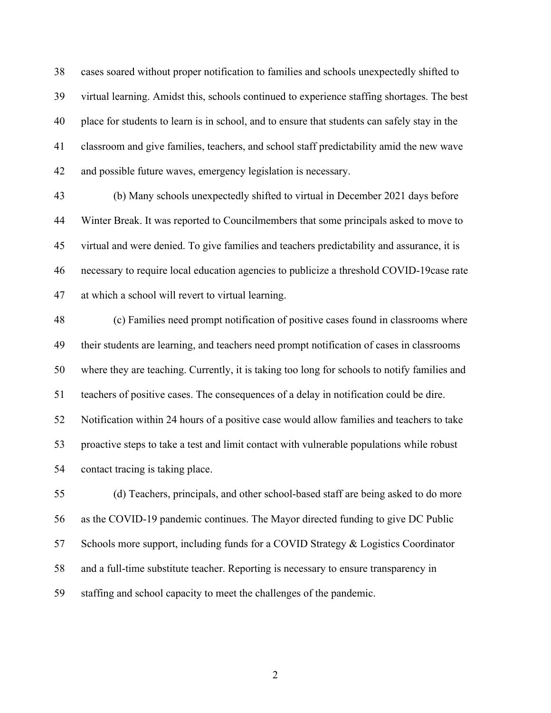cases soared without proper notification to families and schools unexpectedly shifted to virtual learning. Amidst this, schools continued to experience staffing shortages. The best place for students to learn is in school, and to ensure that students can safely stay in the classroom and give families, teachers, and school staff predictability amid the new wave and possible future waves, emergency legislation is necessary.

 (b) Many schools unexpectedly shifted to virtual in December 2021 days before Winter Break. It was reported to Councilmembers that some principals asked to move to virtual and were denied. To give families and teachers predictability and assurance, it is necessary to require local education agencies to publicize a threshold COVID-19case rate at which a school will revert to virtual learning.

 (c) Families need prompt notification of positive cases found in classrooms where their students are learning, and teachers need prompt notification of cases in classrooms where they are teaching. Currently, it is taking too long for schools to notify families and teachers of positive cases. The consequences of a delay in notification could be dire. Notification within 24 hours of a positive case would allow families and teachers to take proactive steps to take a test and limit contact with vulnerable populations while robust contact tracing is taking place.

 (d) Teachers, principals, and other school-based staff are being asked to do more as the COVID-19 pandemic continues. The Mayor directed funding to give DC Public Schools more support, including funds for a COVID Strategy & Logistics Coordinator and a full-time substitute teacher. Reporting is necessary to ensure transparency in staffing and school capacity to meet the challenges of the pandemic.